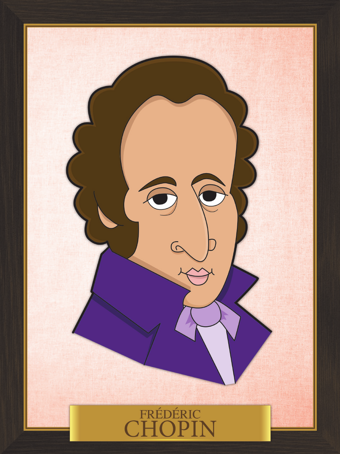